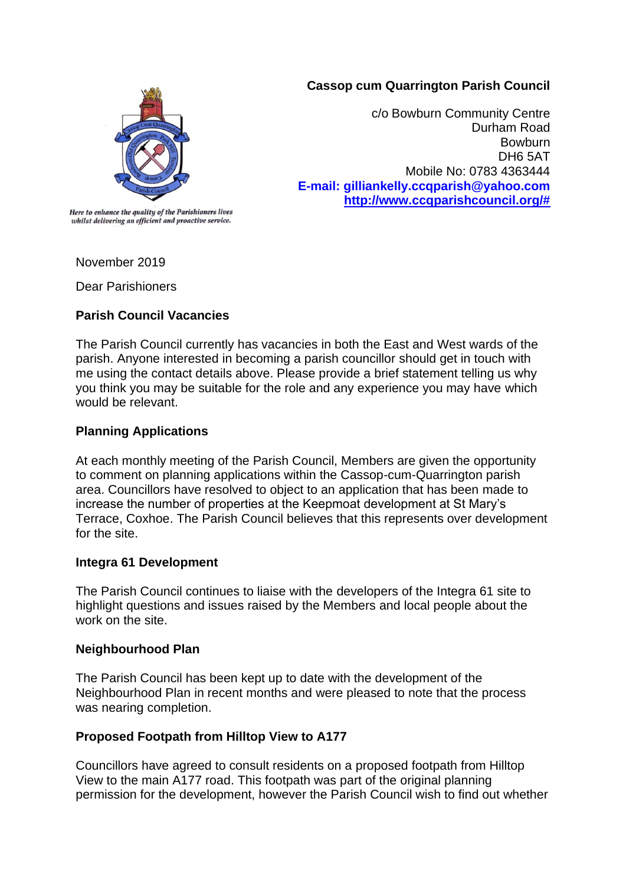### **Cassop cum Quarrington Parish Council**



c/o Bowburn Community Centre Durham Road **Bowburn** DH6 5AT Mobile No: 0783 4363444 **E-mail: gilliankelly.ccqparish@yahoo.com [http://www.ccqparishcouncil.org/#](http://www.ccqparishcouncil.org/)**

Here to enhance the quality of the Parishioners lives whilst delivering an efficient and proactive service.

November 2019

Dear Parishioners

# **Parish Council Vacancies**

The Parish Council currently has vacancies in both the East and West wards of the parish. Anyone interested in becoming a parish councillor should get in touch with me using the contact details above. Please provide a brief statement telling us why you think you may be suitable for the role and any experience you may have which would be relevant.

### **Planning Applications**

At each monthly meeting of the Parish Council, Members are given the opportunity to comment on planning applications within the Cassop-cum-Quarrington parish area. Councillors have resolved to object to an application that has been made to increase the number of properties at the Keepmoat development at St Mary's Terrace, Coxhoe. The Parish Council believes that this represents over development for the site.

#### **Integra 61 Development**

The Parish Council continues to liaise with the developers of the Integra 61 site to highlight questions and issues raised by the Members and local people about the work on the site.

#### **Neighbourhood Plan**

The Parish Council has been kept up to date with the development of the Neighbourhood Plan in recent months and were pleased to note that the process was nearing completion.

# **Proposed Footpath from Hilltop View to A177**

Councillors have agreed to consult residents on a proposed footpath from Hilltop View to the main A177 road. This footpath was part of the original planning permission for the development, however the Parish Council wish to find out whether